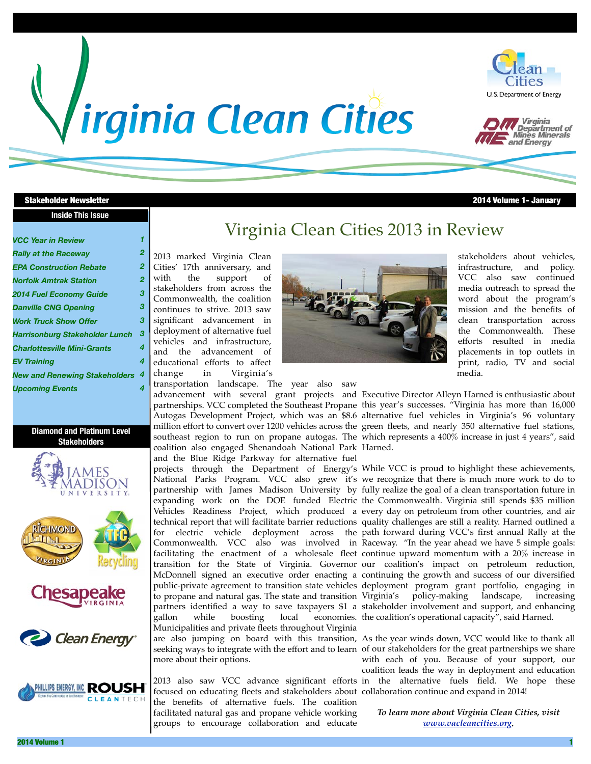# *Irginia Clean Cities*





#### **Stakeholder Newsletter**

#### **Inside This Issue**

*1*

| 21 T | /olume | lanuar |  |
|------|--------|--------|--|
|      |        |        |  |

#### *VCC Year in Review*

| <b>Rally at the Raceway</b>           | 2 |
|---------------------------------------|---|
| <b>EPA Construction Rebate</b>        | 2 |
| <b>Norfolk Amtrak Station</b>         | 2 |
| <b>2014 Fuel Economy Guide</b>        | 3 |
| <b>Danville CNG Opening</b>           | 3 |
| <b>Work Truck Show Offer</b>          | 3 |
| <b>Harrisonburg Stakeholder Lunch</b> | 3 |
| <b>Charlottesville Mini-Grants</b>    | 4 |
| <b>EV Training</b>                    | 4 |
| <b>New and Renewing Stakeholders</b>  | 4 |
| <b>Upcoming Events</b>                | 4 |

#### **Diamond and Platinum Level Stakeholders**







Clean Energy



# Virginia Clean Cities 2013 in Review

2013 marked Virginia Clean Cities' 17th anniversary, and with the support of stakeholders from across the Commonwealth, the coalition continues to strive. 2013 saw significant advancement in deployment of alternative fuel vehicles and infrastructure, and the advancement of educational efforts to affect change in Virginia's

transportation landscape. The year also saw coalition also engaged Shenandoah National Park Harned. and the Blue Ridge Parkway for alternative fuel

gallon while boosting local economies. the coalition's operational capacity", said Harned. Municipalities and private fleets throughout Virginia

more about their options.

focused on educating fleets and stakeholders about collaboration continue and expand in 2014! the benefits of alternative fuels. The coalition facilitated natural gas and propane vehicle working groups to encourage collaboration and educate



stakeholders about vehicles, infrastructure, and policy. VCC also saw continued media outreach to spread the word about the program's mission and the benefits of clean transportation across the Commonwealth. These efforts resulted in media placements in top outlets in print, radio, TV and social media.

advancement with several grant projects and Executive Director Alleyn Harned is enthusiastic about partnerships. VCC completed the Southeast Propane this year's successes. "Virginia has more than 16,000 Autogas Development Project, which was an \$8.6 alternative fuel vehicles in Virginia's 96 voluntary million effort to convert over 1200 vehicles across the green fleets, and nearly 350 alternative fuel stations, southeast region to run on propane autogas. The which represents a 400% increase in just 4 years", said

projects through the Department of Energy's While VCC is proud to highlight these achievements, National Parks Program. VCC also grew it's we recognize that there is much more work to do to partnership with James Madison University by fully realize the goal of a clean transportation future in expanding work on the DOE funded Electric the Commonwealth. Virginia still spends \$35 million Vehicles Readiness Project, which produced a every day on petroleum from other countries, and air technical report that will facilitate barrier reductions quality challenges are still a reality. Harned outlined a for electric vehicle deployment across the path forward during VCC's first annual Rally at the Commonwealth. VCC also was involved in Raceway. "In the year ahead we have 5 simple goals: facilitating the enactment of a wholesale fleet continue upward momentum with a 20% increase in transition for the State of Virginia. Governor our coalition's impact on petroleum reduction, McDonnell signed an executive order enacting a continuing the growth and success of our diversified public-private agreement to transition state vehicles deployment program grant portfolio, engaging in to propane and natural gas. The state and transition Virginia's policy-making landscape, increasing partners identified a way to save taxpayers \$1 a stakeholder involvement and support, and enhancing

are also jumping on board with this transition, As the year winds down, VCC would like to thank all seeking ways to integrate with the effort and to learn of our stakeholders for the great partnerships we share 2013 also saw VCC advance significant efforts in the alternative fuels field. We hope these with each of you. Because of your support, our coalition leads the way in deployment and education

> *To learn more about Virginia Clean Cities, visit [www.vacleancities.org.](http://www.vacleancities.org)*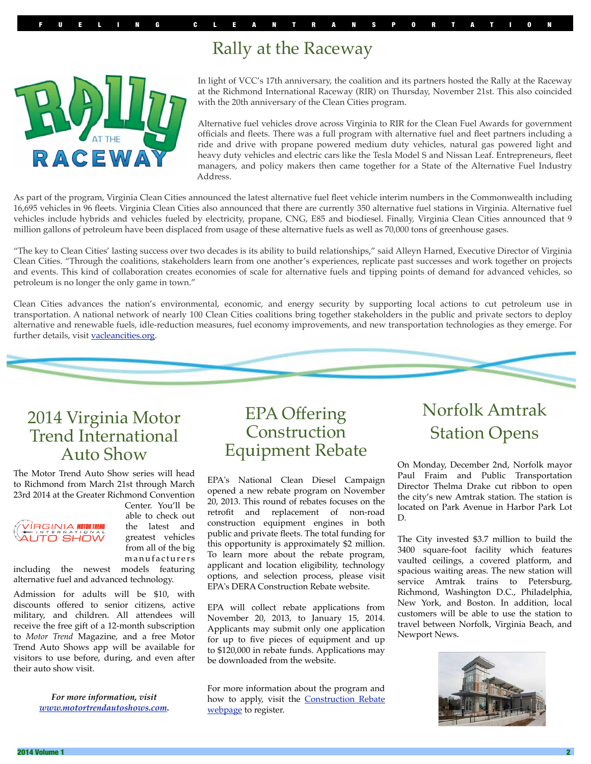# Rally at the Raceway



In light of VCC's 17th anniversary, the coalition and its partners hosted the Rally at the Raceway at the Richmond International Raceway (RIR) on Thursday, November 21st. This also coincided with the 20th anniversary of the Clean Cities program.

Alternative fuel vehicles drove across Virginia to RIR for the Clean Fuel Awards for government officials and fleets. There was a full program with alternative fuel and fleet partners including a ride and drive with propane powered medium duty vehicles, natural gas powered light and heavy duty vehicles and electric cars like the Tesla Model S and Nissan Leaf. Entrepreneurs, fleet managers, and policy makers then came together for a State of the Alternative Fuel Industry Address.

As part of the program, Virginia Clean Cities announced the latest alternative fuel fleet vehicle interim numbers in the Commonwealth including 16,695 vehicles in 96 fleets. Virginia Clean Cities also announced that there are currently 350 alternative fuel stations in Virginia. Alternative fuel vehicles include hybrids and vehicles fueled by electricity, propane, CNG, E85 and biodiesel. Finally, Virginia Clean Cities announced that 9 million gallons of petroleum have been displaced from usage of these alternative fuels as well as 70,000 tons of greenhouse gases.

"The key to Clean Cities' lasting success over two decades is its ability to build relationships," said Alleyn Harned, Executive Director of Virginia Clean Cities. "Through the coalitions, stakeholders learn from one another's experiences, replicate past successes and work together on projects and events. This kind of collaboration creates economies of scale for alternative fuels and tipping points of demand for advanced vehicles, so petroleum is no longer the only game in town."

Clean Cities advances the nation's environmental, economic, and energy security by supporting local actions to cut petroleum use in transportation. A national network of nearly 100 Clean Cities coalitions bring together stakeholders in the public and private sectors to deploy alternative and renewable fuels, idle-reduction measures, fuel economy improvements, and new transportation technologies as they emerge. For further details, visit [vacleancities.org.](http://vacleancities.org)



The Motor Trend Auto Show series will head to Richmond from March 21st through March 23rd 2014 at the Greater Richmond Convention



Center. You'll be able to check out the latest and greatest vehicles from all of the big m a n u f a c t u r e r s

including the newest models featuring alternative fuel and advanced technology.

Admission for adults will be \$10, with discounts offered to senior citizens, active military, and children. All attendees will receive the free gift of a 12-month subscription to *Motor Trend* Magazine, and a free Motor Trend Auto Shows app will be available for visitors to use before, during, and even after their auto show visit.

> *For more information, visit [www.motortrendautoshows.com.](http://www.motortrendautoshows.com)*

## EPA Offering **Construction** Equipment Rebate

EPA's National Clean Diesel Campaign opened a new rebate program on November 20, 2013. This round of rebates focuses on the retrofit and replacement of non-road construction equipment engines in both public and private fleets. The total funding for this opportunity is approximately \$2 million. To learn more about the rebate program, applicant and location eligibility, technology options, and selection process, please visit EPA's DERA Construction Rebate website.

EPA will collect rebate applications from November 20, 2013, to January 15, 2014. Applicants may submit only one application for up to five pieces of equipment and up to \$120,000 in rebate funds. Applications may be downloaded from the website.

For more information about the program and how to apply, visit the **Construction Rebate** [webpage](http://www.epa.gov/diesel/dera-rebate-construction.htm) to register.

# Norfolk Amtrak Station Opens

On Monday, December 2nd, Norfolk mayor Paul Fraim and Public Transportation Director Thelma Drake cut ribbon to open the city's new Amtrak station. The station is located on Park Avenue in Harbor Park Lot D.

The City invested \$3.7 million to build the 3400 square-foot facility which features vaulted ceilings, a covered platform, and spacious waiting areas. The new station will service Amtrak trains to Petersburg, Richmond, Washington D.C., Philadelphia, New York, and Boston. In addition, local customers will be able to use the station to travel between Norfolk, Virginia Beach, and Newport News.

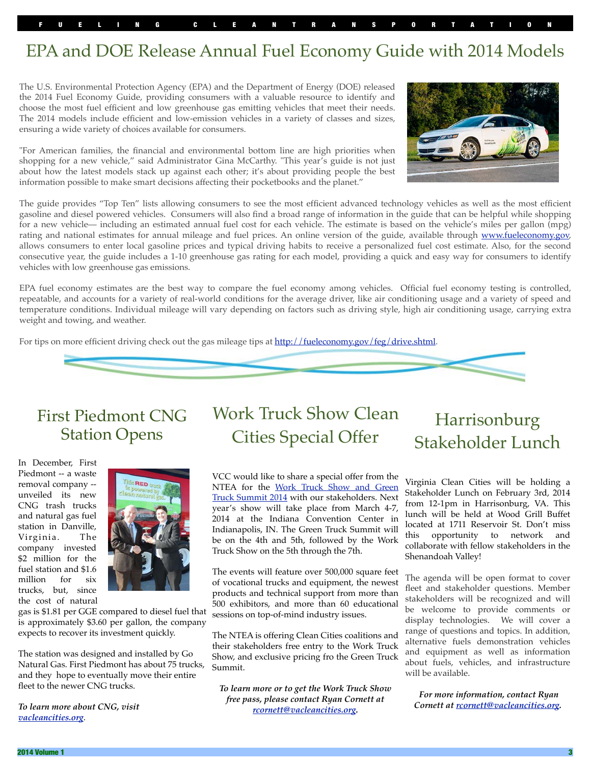# EPA and DOE Release Annual Fuel Economy Guide with 2014 Models

The U.S. Environmental Protection Agency (EPA) and the Department of Energy (DOE) released the 2014 Fuel Economy Guide, providing consumers with a valuable resource to identify and choose the most fuel efficient and low greenhouse gas emitting vehicles that meet their needs. The 2014 models include efficient and low-emission vehicles in a variety of classes and sizes, ensuring a wide variety of choices available for consumers.

"For American families, the financial and environmental bottom line are high priorities when shopping for a new vehicle," said Administrator Gina McCarthy. "This year's guide is not just about how the latest models stack up against each other; it's about providing people the best information possible to make smart decisions affecting their pocketbooks and the planet."



The guide provides "Top Ten" lists allowing consumers to see the most efficient advanced technology vehicles as well as the most efficient gasoline and diesel powered vehicles. Consumers will also find a broad range of information in the guide that can be helpful while shopping for a new vehicle— including an estimated annual fuel cost for each vehicle. The estimate is based on the vehicle's miles per gallon (mpg) rating and national estimates for annual mileage and fuel prices. An online version of the guide, available through [www.fueleconomy.gov,](http://www.fueleconomy.gov/) allows consumers to enter local gasoline prices and typical driving habits to receive a personalized fuel cost estimate. Also, for the second consecutive year, the guide includes a 1-10 greenhouse gas rating for each model, providing a quick and easy way for consumers to identify vehicles with low greenhouse gas emissions.

EPA fuel economy estimates are the best way to compare the fuel economy among vehicles. Official fuel economy testing is controlled, repeatable, and accounts for a variety of real-world conditions for the average driver, like air conditioning usage and a variety of speed and temperature conditions. Individual mileage will vary depending on factors such as driving style, high air conditioning usage, carrying extra weight and towing, and weather.

For tips on more efficient driving check out the gas mileage tips at [http://fueleconomy.gov/feg/drive.shtml.](http://fueleconomy.gov/feg/drive.shtml)



## First Piedmont CNG Station Opens

In December, First Piedmont -- a waste removal company - unveiled its new CNG trash trucks and natural gas fuel station in Danville, Virginia. The company invested \$2 million for the fuel station and \$1.6 million for six trucks, but, since the cost of natural



gas is \$1.81 per GGE compared to diesel fuel that is approximately \$3.60 per gallon, the company expects to recover its investment quickly.

The station was designed and installed by Go Natural Gas. First Piedmont has about 75 trucks, and they hope to eventually move their entire fleet to the newer CNG trucks.

*To learn more about CNG, visit [vacleancities.org](http://vacleancities.org)*.

# Work Truck Show Clean Cities Special Offer

VCC would like to share a special offer from the NTEA for the [Work Truck Show and Green](http://www.ntea.com/worktruckshow/)  [Truck Summit 2014](http://www.ntea.com/worktruckshow/) with our stakeholders. Next year's show will take place from March 4-7, 2014 at the Indiana Convention Center in Indianapolis, IN. The Green Truck Summit will be on the 4th and 5th, followed by the Work Truck Show on the 5th through the 7th.

The events will feature over 500,000 square feet of vocational trucks and equipment, the newest products and technical support from more than 500 exhibitors, and more than 60 educational sessions on top-of-mind industry issues.

The NTEA is offering Clean Cities coalitions and their stakeholders free entry to the Work Truck Show, and exclusive pricing fro the Green Truck Summit.

*To learn more or to get the Work Truck Show free pass, please contact Ryan Cornett at [rcornett@vacleancities.org.](mailto:rcornett@vacleancities.org)* 

Harrisonburg Stakeholder Lunch

Virginia Clean Cities will be holding a Stakeholder Lunch on February 3rd, 2014 from 12-1pm in Harrisonburg, VA. This lunch will be held at Wood Grill Buffet located at 1711 Reservoir St. Don't miss this opportunity to network and collaborate with fellow stakeholders in the Shenandoah Valley!

The agenda will be open format to cover fleet and stakeholder questions. Member stakeholders will be recognized and will be welcome to provide comments or display technologies. We will cover a range of questions and topics. In addition, alternative fuels demonstration vehicles and equipment as well as information about fuels, vehicles, and infrastructure will be available.

 *For more information, contact Ryan Cornett at [rcornett@vacleancities.org.](mailto:rcornett@vacleancities.org)*